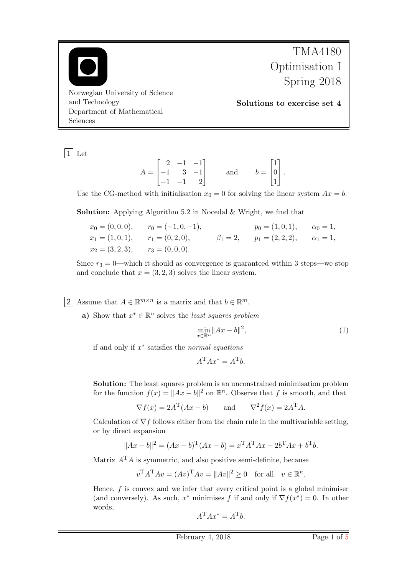

1 Let

$$
A = \begin{bmatrix} 2 & -1 & -1 \\ -1 & 3 & -1 \\ -1 & -1 & 2 \end{bmatrix} \quad \text{and} \quad b = \begin{bmatrix} 1 \\ 0 \\ 1 \end{bmatrix}.
$$

Use the CG-method with initialisation  $x_0 = 0$  for solving the linear system  $Ax = b$ .

Solution: Applying Algorithm 5.2 in Nocedal & Wright, we find that

 $x_0 = (0, 0, 0),$   $r_0 = (-1, 0, -1),$   $p_0 = (1, 0, 1),$   $\alpha_0 = 1,$  $x_1 = (1, 0, 1),$   $r_1 = (0, 2, 0),$   $\beta_1 = 2,$   $p_1 = (2, 2, 2),$   $\alpha_1 = 1,$  $x_2 = (3, 2, 3), \quad r_3 = (0, 0, 0).$ 

Since  $r_3 = 0$ —which it should as convergence is guaranteed within 3 steps—we stop and conclude that  $x = (3, 2, 3)$  solves the linear system.

2 Assume that  $A \in \mathbb{R}^{m \times n}$  is a matrix and that  $b \in \mathbb{R}^m$ .

a) Show that  $x^* \in \mathbb{R}^n$  solves the *least squares problem* 

<span id="page-0-0"></span>
$$
\min_{x \in \mathbb{R}^n} \|Ax - b\|^2,\tag{1}
$$

if and only if  $x^*$  satisfies the normal equations

$$
A^{\mathrm{T}}Ax^* = A^{\mathrm{T}}b.
$$

Solution: The least squares problem is an unconstrained minimisation problem for the function  $f(x) = ||Ax - b||^2$  on  $\mathbb{R}^n$ . Observe that f is smooth, and that

$$
\nabla f(x) = 2A^{\mathrm{T}}(Ax - b)
$$
 and  $\nabla^2 f(x) = 2A^{\mathrm{T}}A$ .

Calculation of  $\nabla f$  follows either from the chain rule in the multivariable setting, or by direct expansion

$$
||Ax - b||2 = (Ax - b)T(Ax - b) = xTATAx - 2bTAx + bTb.
$$

Matrix  $A<sup>T</sup>A$  is symmetric, and also positive semi-definite, because

$$
v^{\mathrm{T}}A^{\mathrm{T}}Av = (Av)^{\mathrm{T}}Av = ||Av||^2 \ge 0 \quad \text{for all} \quad v \in \mathbb{R}^n.
$$

Hence,  $f$  is convex and we infer that every critical point is a global minimiser (and conversely). As such,  $x^*$  minimises f if and only if  $\nabla f(x^*) = 0$ . In other words,

$$
A^{\rm T}Ax^*=A^{\rm T}b.
$$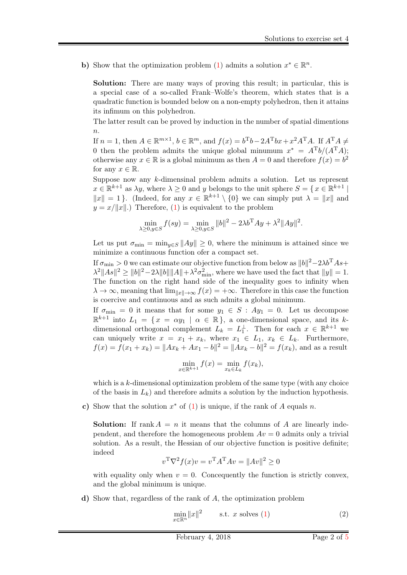b) Show that the optimization problem [\(1\)](#page-0-0) admits a solution  $x^* \in \mathbb{R}^n$ .

Solution: There are many ways of proving this result; in particular, this is a special case of a so-called Frank–Wolfe's theorem, which states that is a quadratic function is bounded below on a non-empty polyhedron, then it attains its infimum on this polyhedron.

The latter result can be proved by induction in the number of spatial dimentions  $\overline{n}$ .

If  $n = 1$ , then  $A \in \mathbb{R}^{m \times 1}$ ,  $b \in \mathbb{R}^m$ , and  $f(x) = b^Tb - 2A^Tbx + x^2A^TA$ . If  $A^TA \neq$ 0 then the problem admits the unique global minumum  $x^* = A^T b/(A^T A);$ otherwise any  $x \in \mathbb{R}$  is a global minimum as then  $A = 0$  and therefore  $f(x) = b^2$ for any  $x \in \mathbb{R}$ .

Suppose now any k-dimensinal problem admits a solution. Let us represent  $x \in \mathbb{R}^{k+1}$  as  $\lambda y$ , where  $\lambda \geq 0$  and y belongs to the unit sphere  $S = \{x \in \mathbb{R}^{k+1} \mid$  $||x|| = 1$ . (Indeed, for any  $x \in \mathbb{R}^{k+1} \setminus \{0\}$  we can simply put  $\lambda = ||x||$  and  $y = x/||x||$ .) Therefore, [\(1\)](#page-0-0) is equivalent to the problem

$$
\min_{\lambda \ge 0, y \in S} f(sy) = \min_{\lambda \ge 0, y \in S} ||b||^2 - 2\lambda b^{\mathrm{T}}Ay + \lambda^2 ||Ay||^2.
$$

Let us put  $\sigma_{\min} = \min_{y \in S} ||Ay|| \geq 0$ , where the minimum is attained since we minimize a continuous function ofer a compact set.

If  $\sigma_{\rm min} > 0$  we can estimate our objective function from below as  $\|b\|^2 - 2\lambda b^{\rm T}As +$  $\lambda^2 ||As||^2 \ge ||b||^2 - 2\lambda ||b|| ||A|| + \lambda^2 \sigma_{\min}^2$ , where we have used the fact that  $||y|| = 1$ . The function on the right hand side of the inequality goes to infinity when  $\lambda \to \infty$ , meaning that  $\lim_{\|x\| \to \infty} f(x) = +\infty$ . Therefore in this case the function is coercive and continuous and as such admits a global minimum.

If  $\sigma_{\min} = 0$  it means that for some  $y_1 \in S : Ay_1 = 0$ . Let us decompose  $\mathbb{R}^{k+1}$  into  $L_1 = \{x = \alpha y_1 \mid \alpha \in \mathbb{R}\},\$ a one-dimensional space, and its kdimensional orthogonal complement  $L_k = L_1^{\perp}$ . Then for each  $x \in \mathbb{R}^{k+1}$  we can uniquely write  $x = x_1 + x_k$ , where  $x_1 \in L_1$ ,  $x_k \in L_k$ . Furthermore,  $f(x) = f(x_1 + x_k) = ||Ax_k + Ax_1 - b||^2 = ||Ax_k - b||^2 = f(x_k)$ , and as a result

$$
\min_{x \in \mathbb{R}^{k+1}} f(x) = \min_{x_k \in L_k} f(x_k),
$$

which is a k-dimensional optimization problem of the same type (with any choice of the basis in  $L_k$ ) and therefore admits a solution by the induction hypothesis.

c) Show that the solution  $x^*$  of  $(1)$  is unique, if the rank of A equals n.

**Solution:** If rank  $A = n$  it means that the columns of A are linearly independent, and therefore the homogeneous problem  $Av = 0$  admits only a trivial solution. As a result, the Hessian of our objective function is positive definite; indeed

$$
v^{\mathrm{T}}\nabla^2 f(x)v = v^{\mathrm{T}}A^{\mathrm{T}}Av = ||Av||^2 \ge 0
$$

with equality only when  $v = 0$ . Concequently the function is strictly convex, and the global minimum is unique.

d) Show that, regardless of the rank of A, the optimization problem

$$
\min_{x \in \mathbb{R}^n} ||x||^2 \qquad \text{s.t. } x \text{ solves (1)} \tag{2}
$$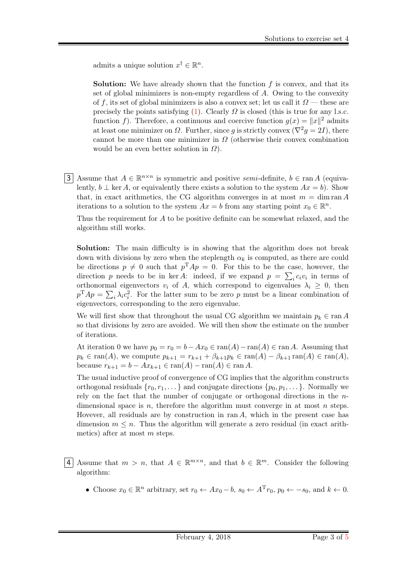admits a unique solution  $x^{\dagger} \in \mathbb{R}^{n}$ .

**Solution:** We have already shown that the function  $f$  is convex, and that its set of global minimizers is non-empty regardless of A. Owing to the convexity of f, its set of global minimizers is also a convex set; let us call it  $\Omega$  — these are precisely the points satisfying [\(1\)](#page-0-0). Clearly  $\Omega$  is closed (this is true for any l.s.c. function f). Therefore, a continuous and coercive function  $g(x) = ||x||^2$  admits at least one minimizer on  $\Omega$ . Further, since g is strictly convex  $(\nabla^2 g = 2I)$ , there cannot be more than one minimizer in  $\Omega$  (otherwise their convex combination would be an even better solution in  $\Omega$ ).

3 Assume that  $A \in \mathbb{R}^{n \times n}$  is symmetric and positive semi-definite,  $b \in \text{ran } A$  (equivalently,  $b \perp$  ker A, or equivalently there exists a solution to the system  $Ax = b$ ). Show that, in exact arithmetics, the CG algorithm converges in at most  $m = \dim \operatorname{ran} A$ iterations to a solution to the system  $Ax = b$  from any starting point  $x_0 \in \mathbb{R}^n$ .

Thus the requirement for A to be positive definite can be somewhat relaxed, and the algorithm still works.

Solution: The main difficulty is in showing that the algorithm does not break down with divisions by zero when the steplength  $\alpha_k$  is computed, as there are could be directions  $p \neq 0$  such that  $p^{T}Ap = 0$ . For this to be the case, however, the direction p needs to be in ker A: indeed, if we expand  $p = \sum_i c_i v_i$  in terms of orthonormal eigenvectors  $v_i$  of A, which correspond to eigenvalues  $\lambda_i \geq 0$ , then  $p^{\mathrm{T}}Ap = \sum_i \lambda_i c_i^2$ . For the latter sum to be zero p must be a linear combination of eigenvectors, corresponding to the zero eigenvalue.

We will first show that throughout the usual CG algorithm we maintain  $p_k \in \text{ran } A$ so that divisions by zero are avoided. We will then show the estimate on the number of iterations.

At iteration 0 we have  $p_0 = r_0 = b - Ax_0 \in \text{ran}(A) - \text{ran}(A) \in \text{ran }A$ . Assuming that  $p_k \in \text{ran}(A)$ , we compute  $p_{k+1} = r_{k+1} + \beta_{k+1}p_k \in \text{ran}(A) - \beta_{k+1} \text{ran}(A) \in \text{ran}(A)$ , because  $r_{k+1} = b - Ax_{k+1} \in \text{ran}(A) - \text{ran}(A) \in \text{ran } A$ .

The usual inductive proof of convergence of CG implies that the algorithm constructs orthogonal residuals  $\{r_0, r_1, \ldots\}$  and conjugate directions  $\{p_0, p_1, \ldots\}$ . Normally we rely on the fact that the number of conjugate or orthogonal directions in the  $n$ dimensional space is  $n$ , therefore the algorithm must converge in at most  $n$  steps. Hovever, all residuals are by construction in  $ran A$ , which in the present case has dimension  $m \leq n$ . Thus the algorithm will generate a zero residual (in exact arithmetics) after at most m steps.

- 4 Assume that  $m > n$ , that  $A \in \mathbb{R}^{m \times n}$ , and that  $b \in \mathbb{R}^m$ . Consider the following algorithm:
	- Choose  $x_0 \in \mathbb{R}^n$  arbitrary, set  $r_0 \leftarrow Ax_0 b$ ,  $s_0 \leftarrow A^T r_0$ ,  $p_0 \leftarrow -s_0$ , and  $k \leftarrow 0$ .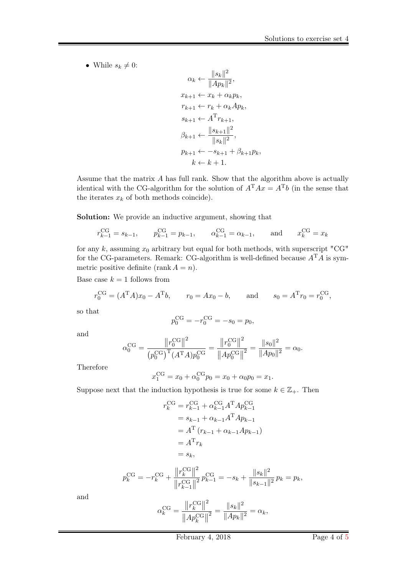• While  $s_k \neq 0$ :

 $\alpha_k \leftarrow \frac{\|s_k\|^2}{\|A_{\infty}\|}$  $\frac{\|B_{k}\|}{\|Ap_{k}\|^{2}},$  $x_{k+1} \leftarrow x_k + \alpha_k p_k,$  $r_{k+1} \leftarrow r_k + \alpha_k Ap_k,$  $s_{k+1} \leftarrow A^{\mathrm{T}} r_{k+1},$  $\beta_{k+1} \leftarrow \frac{\|s_{k+1}\|^2}{\|s_{k+1}\|^2}$  $\frac{1}{\|s_k\|^2},$  $p_{k+1} \leftarrow -s_{k+1} + \beta_{k+1} p_k,$  $k \leftarrow k + 1$ .

Assume that the matrix A has full rank. Show that the algorithm above is actually identical with the CG-algorithm for the solution of  $A<sup>T</sup>Ax = A<sup>T</sup>b$  (in the sense that the iterates  $x_k$  of both methods coincide).

Solution: We provide an inductive argument, showing that

$$
r_{k-1}^{CG} = s_{k-1},
$$
  $p_{k-1}^{CG} = p_{k-1},$   $\alpha_{k-1}^{CG} = \alpha_{k-1},$  and  $x_k^{CG} = x_k$ 

for any  $k$ , assuming  $x_0$  arbitrary but equal for both methods, with superscript "CG" for the CG-parameters. Remark: CG-algorithm is well-defined because  $A<sup>T</sup>A$  is symmetric positive definite (rank  $A = n$ ).

Base case  $k = 1$  follows from

$$
r_0^{\text{CG}} = (A^{\text{T}}A)x_0 - A^{\text{T}}b
$$
,  $r_0 = Ax_0 - b$ , and  $s_0 = A^{\text{T}}r_0 = r_0^{\text{CG}}$ ,

so that

$$
p_0^{\rm CG} = -r_0^{\rm CG} = -s_0 = p_0,
$$

and

$$
\alpha_0^{\text{CG}} = \frac{\|r_0^{\text{CG}}\|^2}{(p_0^{\text{CG}})^{\text{T}}(A^{\text{T}}A)p_0^{\text{CG}}} = \frac{\|r_0^{\text{CG}}\|^2}{\|Ap_0^{\text{CG}}\|^2} = \frac{\|s_0\|^2}{\|Ap_0\|^2} = \alpha_0.
$$

Therefore

$$
x_1^{\text{CG}} = x_0 + \alpha_0^{\text{CG}} p_0 = x_0 + \alpha_0 p_0 = x_1.
$$

Suppose next that the induction hypothesis is true for some  $k \in \mathbb{Z}_+$ . Then

$$
r_k^{\text{CG}} = r_{k-1}^{\text{CG}} + \alpha_{k-1}^{\text{CG}} A^{\text{T}} A p_{k-1}^{\text{CG}}
$$
  
\n
$$
= s_{k-1} + \alpha_{k-1} A^{\text{T}} A p_{k-1}
$$
  
\n
$$
= A^{\text{T}} (r_{k-1} + \alpha_{k-1} A p_{k-1})
$$
  
\n
$$
= A^{\text{T}} r_k
$$
  
\n
$$
= s_k,
$$
  
\n
$$
p_k^{\text{CG}} = -r_k^{\text{CG}} + \frac{\|r_k^{\text{CG}}\|^2}{\|r_{k-1}^{\text{CG}}\|^2} p_{k-1}^{\text{CG}} = -s_k + \frac{\|s_k\|^2}{\|s_{k-1}\|^2} p_k = p_k,
$$
  
\n
$$
\alpha_k^{\text{CG}} = \frac{\|r_k^{\text{CG}}\|^2}{\|A p_k^{\text{CG}}\|^2} = \frac{\|s_k\|^2}{\|A p_k\|^2} = \alpha_k,
$$

and